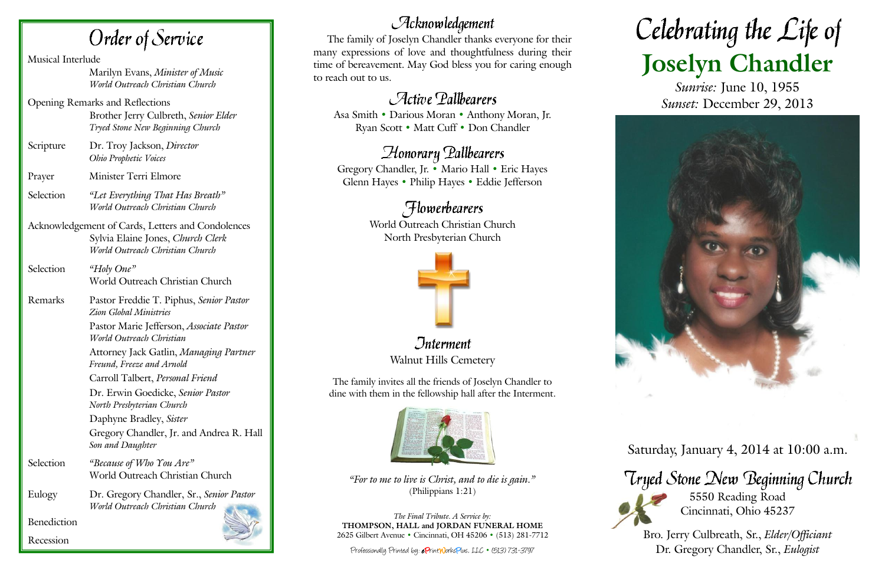The family of Joselyn Chandler thanks everyone for their many expressions of love and thoughtfulness during their time of bereavement. May God bless you for caring enough to reach out to us.

# Active Pallbearers

*<u>Interment</u>* Walnut Hills Cemetery

Asa Smith • Darious Moran • Anthony Moran, Jr. Ryan Scott • Matt Cuff • Don Chandler

# Honorary Pallbearers

Gregory Chandler, Jr. • Mario Hall • Eric Hayes Glenn Hayes • Philip Hayes • Eddie Jefferson

# *Flowerbearers*

World Outreach Christian Church North Presbyterian Church



# Celebrating the Life of **Joselyn Chandler**

The family invites all the friends of Joselyn Chandler to dine with them in the fellowship hall after the Interment.



*"For to me to live is Christ, and to die is gain."* (Philippians 1:21)

*The Final Tribute. A Service by:* **THOMPSON, HALL and JORDAN FUNERAL HOME** 2625 Gilbert Avenue **•** Cincinnati, OH 45206 **•** (513) 281-7712

Professionally Printed by: e PrintWorksPlus, LLC **•** (513) 731-3797



*Sunrise:* June 10, 1955 *Sunset:* December 29, 2013



Saturday, January 4, 2014 at 10:00 a.m.

# Tryed Stone New Beginning Church

5550 Reading Road Cincinnati, Ohio 45237

Bro. Jerry Culbreath, Sr., *Elder/Officiant* Dr. Gregory Chandler, Sr., *Eulogist*

Order of Service

Musical Interlude Marilyn Evans, *Minister of Music World Outreach Christian Church* Opening Remarks and Reflections Brother Jerry Culbreth, *Senior Elder Tryed Stone New Beginning Church* Scripture Dr. Troy Jackson, *Director Ohio Prophetic Voices* Prayer Minister Terri Elmore Selection *"Let Everything That Has Breath" World Outreach Christian Church* Acknowledgement of Cards, Letters and Condolences Sylvia Elaine Jones, *Church Clerk World Outreach Christian Church* Selection *"Holy One"* World Outreach Christian Church Remarks Pastor Freddie T. Piphus, *Senior Pastor Zion Global Ministries* Pastor Marie Jefferson, *Associate Pastor World Outreach Christian* Attorney Jack Gatlin, *Managing Partner Freund, Freeze and Arnold* Carroll Talbert, *Personal Friend* Dr. Erwin Goedicke, *Senior Pastor North Presbyterian Church* Daphyne Bradley, *Sister* Gregory Chandler, Jr. and Andrea R. Hall *Son and Daughter* Selection *"Because of Who You Are"* World Outreach Christian Church Eulogy Dr. Gregory Chandler, Sr., *Senior Pastor World Outreach Christian Church* Benediction Recession

# $\mathcal{A}$ cknowledgement